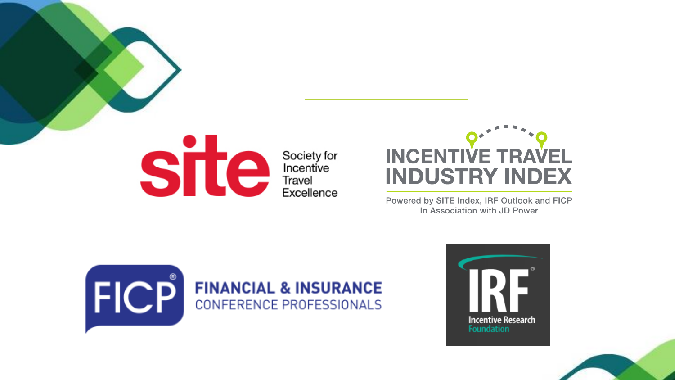

Society for Incentive<br>Travel Excellence



Powered by SITE Index, IRF Outlook and FICP In Association with JD Power





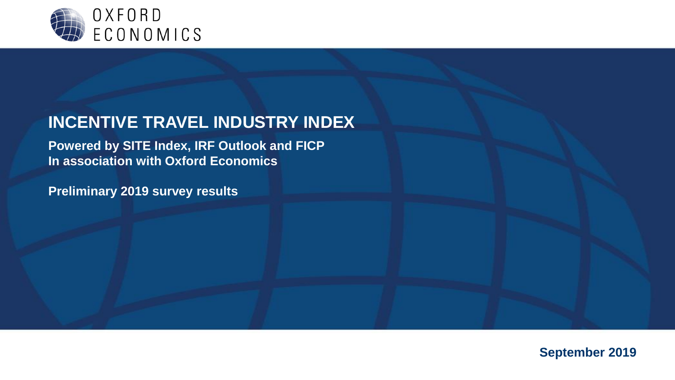

#### **INCENTIVE TRAVEL INDUSTRY INDEX**

**Powered by SITE Index, IRF Outlook and FICP In association with Oxford Economics**

**Preliminary 2019 survey results**

**September 2019**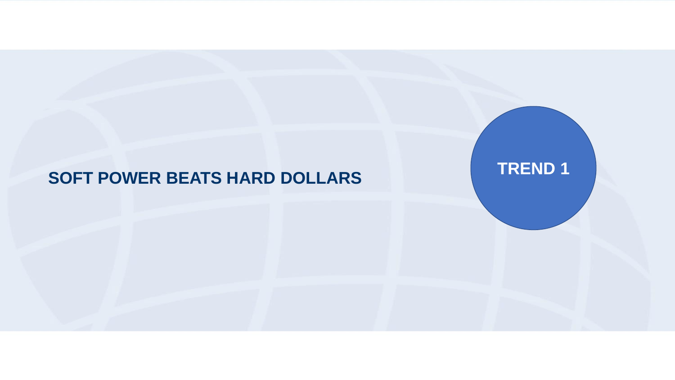# **SOFT POWER BEATS HARD DOLLARS TREND 1**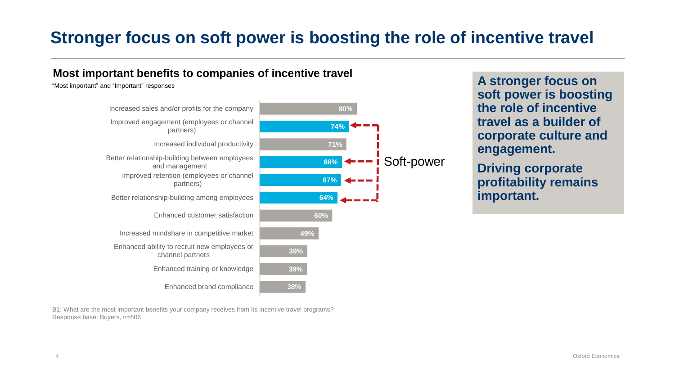## **Stronger focus on soft power is boosting the role of incentive travel**

#### **Most important benefits to companies of incentive travel**

"Most important" and "Important" responses



B1: What are the most important benefits your company receives from its incentive travel programs? Response base: Buyers, n=606

**A stronger focus on soft power is boosting the role of incentive travel as a builder of corporate culture and engagement.** 

**Driving corporate profitability remains important.**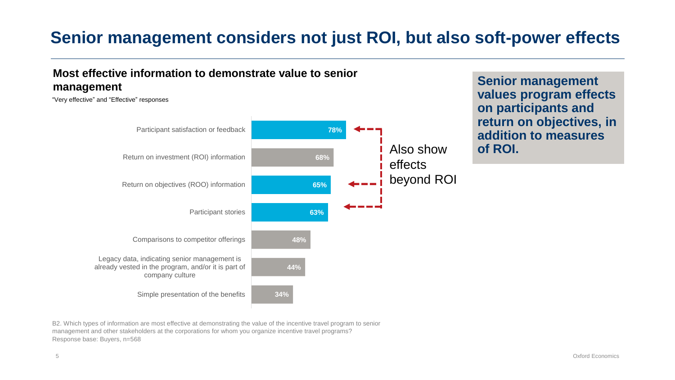### **Senior management considers not just ROI, but also soft-power effects**



**Senior management values program effects on participants and return on objectives, in addition to measures** 

B2. Which types of information are most effective at demonstrating the value of the incentive travel program to senior management and other stakeholders at the corporations for whom you organize incentive travel programs? Response base: Buyers, n=568

**Most effective information to demonstrate value to senior**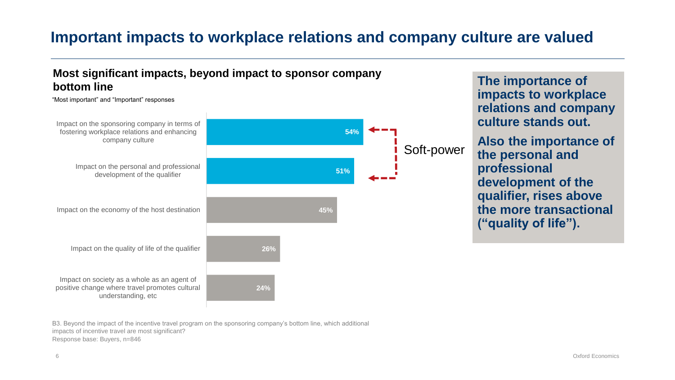#### **Important impacts to workplace relations and company culture are valued**



**The importance of impacts to workplace relations and company culture stands out. Also the importance of the personal and professional development of the qualifier, rises above the more transactional ("quality of life").**

B3. Beyond the impact of the incentive travel program on the sponsoring company's bottom line, which additional impacts of incentive travel are most significant? Response base: Buyers, n=846

**Most significant impacts, beyond impact to sponsor company**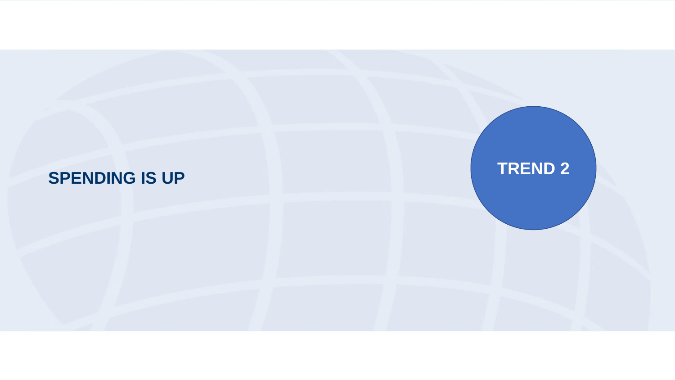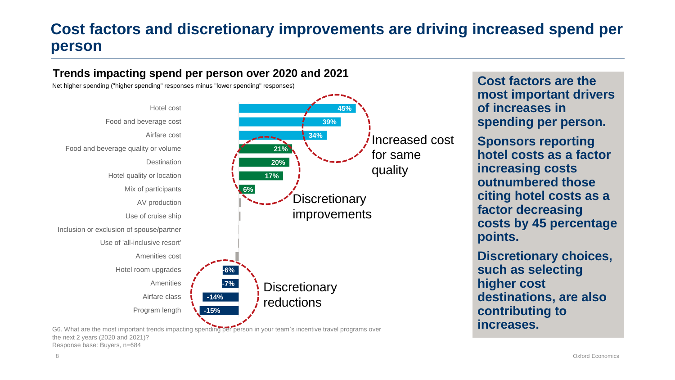#### **Cost factors and discretionary improvements are driving increased spend per person**



G6. What are the most important trends impacting spending per person in your team's incentive travel programs over the next 2 years (2020 and 2021)? Response base: Buyers, n=684

**Cost factors are the most important drivers of increases in spending per person.**

**Sponsors reporting hotel costs as a factor increasing costs outnumbered those citing hotel costs as a factor decreasing costs by 45 percentage points.** 

**Discretionary choices, such as selecting higher cost destinations, are also contributing to increases.**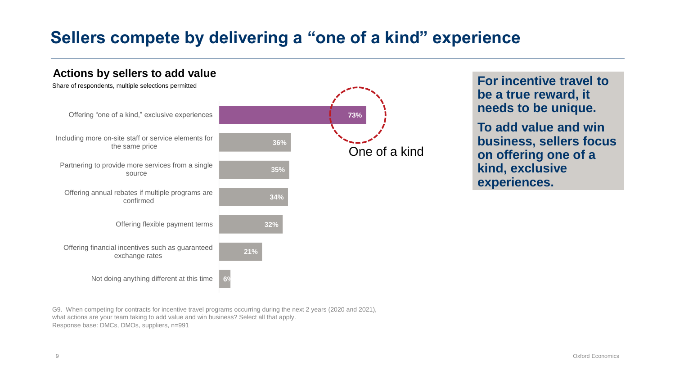### **Sellers compete by delivering a "one of a kind" experience**



**For incentive travel to be a true reward, it needs to be unique.**

**To add value and win business, sellers focus on offering one of a kind, exclusive experiences.**

G9. When competing for contracts for incentive travel programs occurring during the next 2 years (2020 and 2021), what actions are your team taking to add value and win business? Select all that apply. Response base: DMCs, DMOs, suppliers, n=991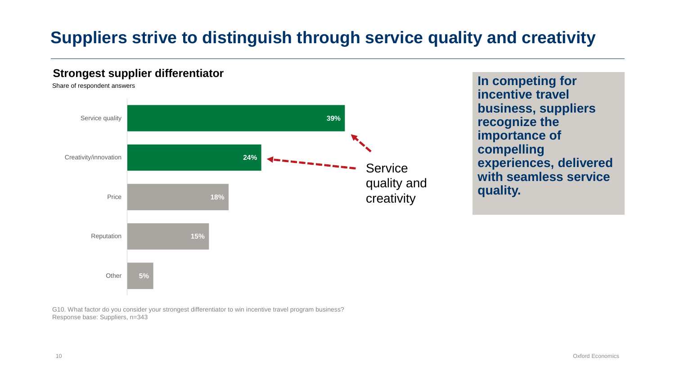## **Suppliers strive to distinguish through service quality and creativity**

#### **Strongest supplier differentiator**

Share of respondent answers Service quality **39%** Creativity/innovation **24%** ----------**Service** quality and Price **18%** creativityReputation **15% Other 5%**

**In competing for incentive travel business, suppliers recognize the importance of compelling experiences, delivered with seamless service quality.**

G10. What factor do you consider your strongest differentiator to win incentive travel program business? Response base: Suppliers, n=343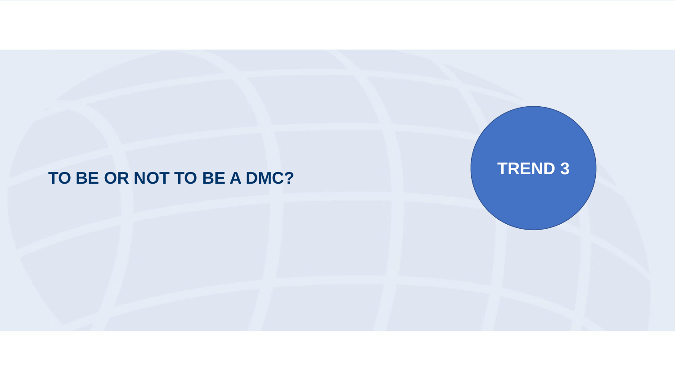# TO BE OR NOT TO BE A DMC?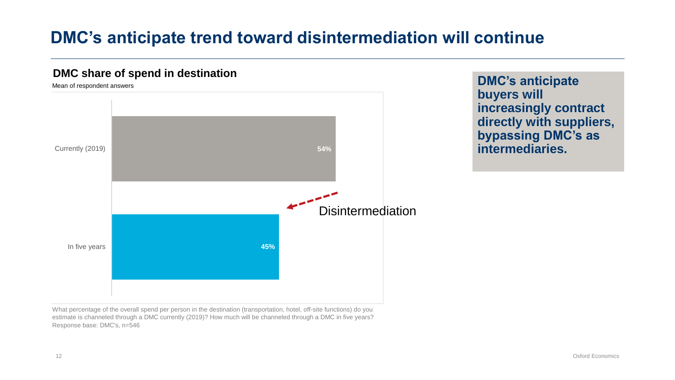### **DMC's anticipate trend toward disintermediation will continue**



**DMC's anticipate buyers will increasingly contract directly with suppliers, bypassing DMC's as intermediaries.** 

What percentage of the overall spend per person in the destination (transportation, hotel, off-site functions) do you estimate is channeled through a DMC currently (2019)? How much will be channeled through a DMC in five years? Response base: DMC's, n=546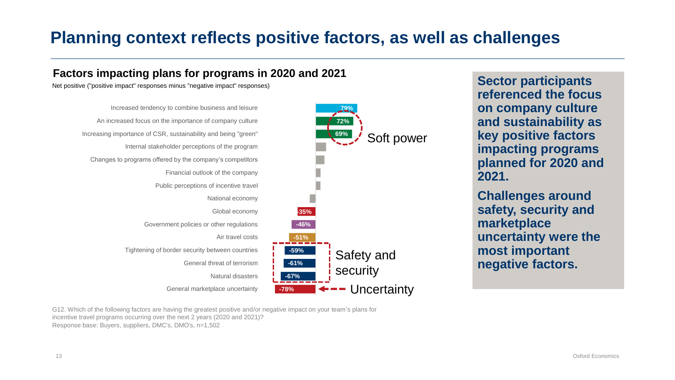### **Planning context reflects positive factors, as well as challenges**



**Sector participants referenced the focus on company culture and sustainability as key positive factors impacting programs planned for 2020 and 2021.**

**Challenges around safety, security and marketplace uncertainty were the most important negative factors.** 

G12. Which of the following factors are having the greatest positive and/or negative impact on your team's plans for incentive travel programs occurring over the next 2 years (2020 and 2021)? Response base: Buyers, suppliers, DMC's, DMO's, n=1,502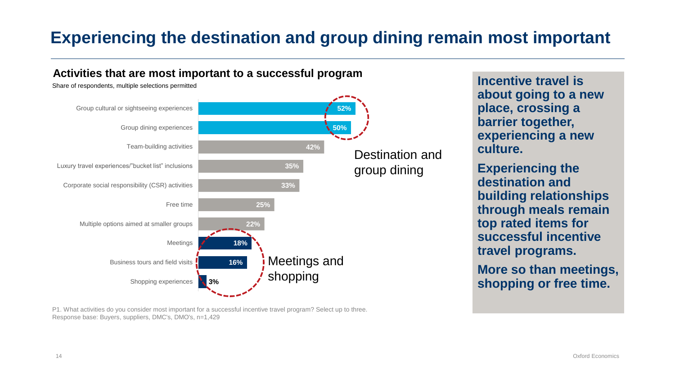## **Experiencing the destination and group dining remain most important**



P1. What activities do you consider most important for a successful incentive travel program? Select up to three. Response base: Buyers, suppliers, DMC's, DMO's, n=1,429

**Incentive travel is about going to a new place, crossing a barrier together, experiencing a new culture.** 

**Experiencing the destination and building relationships through meals remain top rated items for successful incentive travel programs.**

**More so than meetings, shopping or free time.**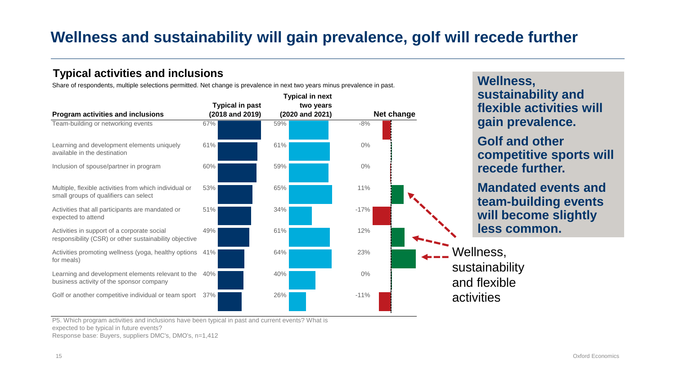#### **Wellness and sustainability will gain prevalence, golf will recede further**

#### **Typical activities and inclusions**

Share of respondents, multiple selections permitted. Net change is prevalence in next two years minus prevalence in past.

|                                                                                                       | <b>Typical in past</b> | two years       |            |
|-------------------------------------------------------------------------------------------------------|------------------------|-----------------|------------|
| Program activities and inclusions                                                                     | (2018 and 2019)        | (2020 and 2021) | Net change |
| Team-building or networking events                                                                    | 67%                    | 59%             | $-8%$      |
| Learning and development elements uniquely<br>available in the destination                            | 61%                    | 61%             | $0\%$      |
| Inclusion of spouse/partner in program                                                                | 60%                    | 59%             | $0\%$      |
| Multiple, flexible activities from which individual or<br>small groups of qualifiers can select       | 53%                    | 65%             | 11%        |
| Activities that all participants are mandated or<br>expected to attend                                | 51%                    | 34%             | $-17%$     |
| Activities in support of a corporate social<br>responsibility (CSR) or other sustainability objective | 49%                    | 61%             | 12%        |
| Activities promoting wellness (yoga, healthy options<br>for meals)                                    | 41%                    | 64%             | 23%        |
| Learning and development elements relevant to the<br>business activity of the sponsor company         | 40%                    | 40%             | $0\%$      |
| Golf or another competitive individual or team sport                                                  | 37%                    | 26%             | $-11%$     |

#### **Wellness, sustainability and flexible activities will gain prevalence.**

**Golf and other competitive sports will recede further.** 

**Mandated events and team-building events will become slightly less common.**

Wellness, sustainability and flexible activities

P5. Which program activities and inclusions have been typical in past and current events? What is expected to be typical in future events? Response base: Buyers, suppliers DMC's, DMO's, n=1,412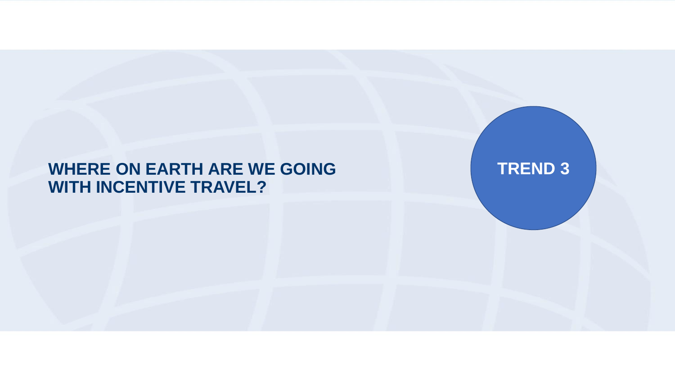#### **WHERE ON EARTH ARE WE GOING WITH INCENTIVE TRAVEL?**

**TREND 3**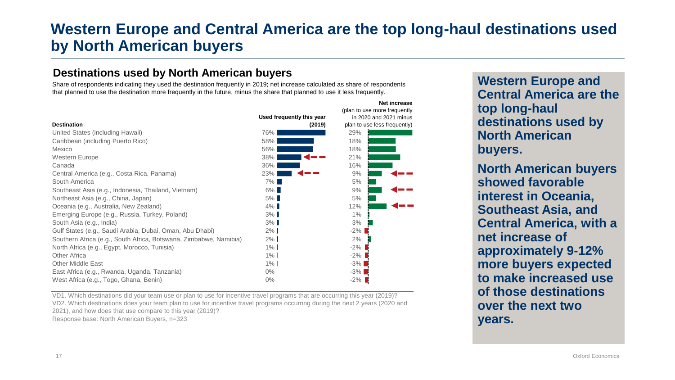#### **Western Europe and Central America are the top long-haul destinations used by North American buyers**

#### **Destinations used by North American buyers**

Share of respondents indicating they used the destination frequently in 2019; net increase calculated as share of respondents that planned to use the destination more frequently in the future, minus the share that planned to use it less frequently.

|                                                                   |                           | Net increase                 |
|-------------------------------------------------------------------|---------------------------|------------------------------|
|                                                                   |                           | (plan to use more frequently |
|                                                                   | Used frequently this year | in 2020 and 2021 minus       |
| <b>Destination</b>                                                | (2019)                    | plan to use less frequently) |
| United States (including Hawaii)                                  | 76%                       | 29%                          |
| Caribbean (including Puerto Rico)                                 | 58%                       | 18%                          |
| Mexico                                                            | 56%                       | 18%                          |
| <b>Western Europe</b>                                             | 38%                       | 21%                          |
| Canada                                                            | 36%                       | 16%                          |
| Central America (e.g., Costa Rica, Panama)                        | 23%                       | 9%                           |
| South America                                                     | $7\%$                     | 5%                           |
| Southeast Asia (e.g., Indonesia, Thailand, Vietnam)               | $6\%$                     | 9%                           |
| Northeast Asia (e.g., China, Japan)                               | $5\%$                     | 5%                           |
| Oceania (e.g., Australia, New Zealand)                            | $4\%$                     | 12%                          |
| Emerging Europe (e.g., Russia, Turkey, Poland)                    | $3\%$                     | 1%                           |
| South Asia (e.g., India)                                          | $3\%$                     | 3%                           |
| Gulf States (e.g., Saudi Arabia, Dubai, Oman, Abu Dhabi)          | $2\%$                     | $-2\%$                       |
| Southern Africa (e.g., South Africa, Botswana, Zimbabwe, Namibia) | $2\%$                     | 2%                           |
| North Africa (e.g., Egypt, Morocco, Tunisia)                      | $1\%$                     | -2%                          |
| <b>Other Africa</b>                                               | $1\%$                     | $-2\%$                       |
| <b>Other Middle East</b>                                          | $1\%$                     | $-3%$                        |
| East Africa (e.g., Rwanda, Uganda, Tanzania)                      | 0%                        | $-3\%$                       |
| West Africa (e.g., Togo, Ghana, Benin)                            | 0%                        | $-2\%$                       |

VD1. Which destinations did your team use or plan to use for incentive travel programs that are occurring this year (2019)? VD2. Which destinations does your team plan to use for incentive travel programs occurring during the next 2 years (2020 and

2021), and how does that use compare to this year (2019)?

Response base: North American Buyers, n=323

**Western Europe and Central America are the top long-haul destinations used by North American buyers.**

**North American buyers showed favorable interest in Oceania, Southeast Asia, and Central America, with a net increase of approximately 9-12% more buyers expected to make increased use of those destinations over the next two years.**